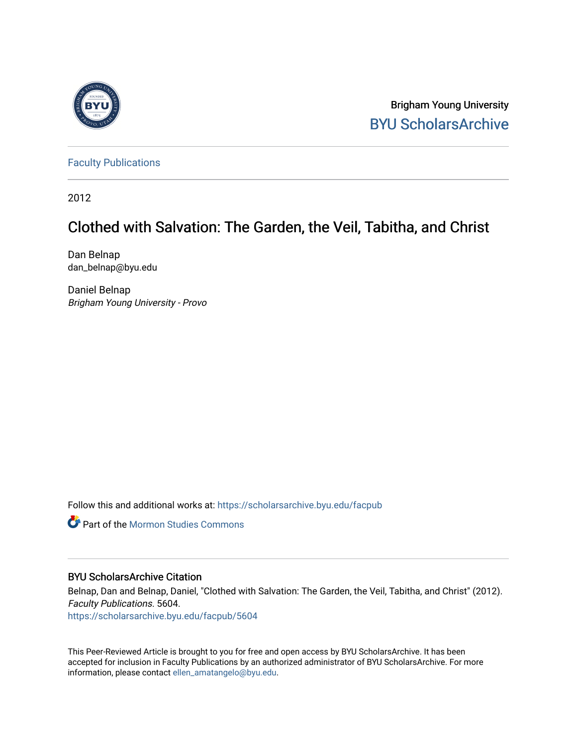

Brigham Young University [BYU ScholarsArchive](https://scholarsarchive.byu.edu/) 

[Faculty Publications](https://scholarsarchive.byu.edu/facpub)

2012

# Clothed with Salvation: The Garden, the Veil, Tabitha, and Christ

Dan Belnap dan\_belnap@byu.edu

Daniel Belnap Brigham Young University - Provo

Follow this and additional works at: [https://scholarsarchive.byu.edu/facpub](https://scholarsarchive.byu.edu/facpub?utm_source=scholarsarchive.byu.edu%2Ffacpub%2F5604&utm_medium=PDF&utm_campaign=PDFCoverPages) 

**Part of the [Mormon Studies Commons](http://network.bepress.com/hgg/discipline/1360?utm_source=scholarsarchive.byu.edu%2Ffacpub%2F5604&utm_medium=PDF&utm_campaign=PDFCoverPages)** 

# BYU ScholarsArchive Citation

Belnap, Dan and Belnap, Daniel, "Clothed with Salvation: The Garden, the Veil, Tabitha, and Christ" (2012). Faculty Publications. 5604.

[https://scholarsarchive.byu.edu/facpub/5604](https://scholarsarchive.byu.edu/facpub/5604?utm_source=scholarsarchive.byu.edu%2Ffacpub%2F5604&utm_medium=PDF&utm_campaign=PDFCoverPages)

This Peer-Reviewed Article is brought to you for free and open access by BYU ScholarsArchive. It has been accepted for inclusion in Faculty Publications by an authorized administrator of BYU ScholarsArchive. For more information, please contact [ellen\\_amatangelo@byu.edu.](mailto:ellen_amatangelo@byu.edu)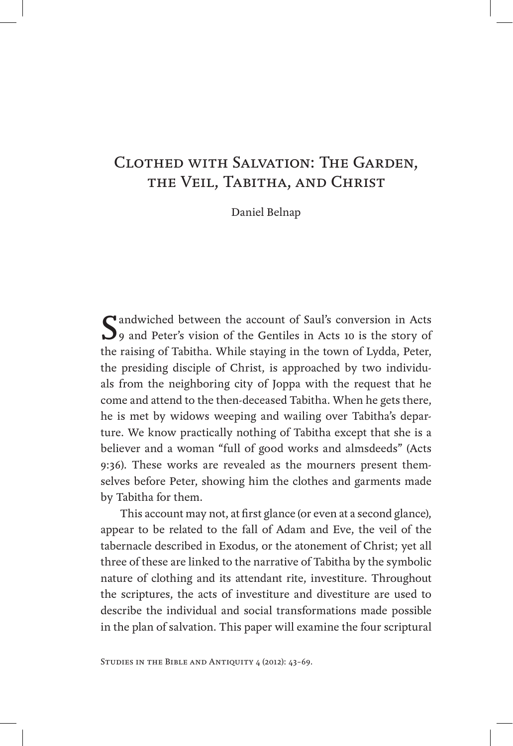# Clothed with Salvation: The Garden, the Veil, Tabitha, and Christ

Daniel Belnap

Saul's conversion in Acts of 9 and Peter's vision of the Gentiles in Acts 10 is the story of the raising of Tabitha. While staying in the town of Lydda, Peter, the presiding disciple of Christ, is approached by two individuals from the neighboring city of Joppa with the request that he come and attend to the then-deceased Tabitha. When he gets there, he is met by widows weeping and wailing over Tabitha's departure. We know practically nothing of Tabitha except that she is a believer and a woman "full of good works and almsdeeds" (Acts 9:36). These works are revealed as the mourners present themselves before Peter, showing him the clothes and garments made by Tabitha for them.

This account may not, at first glance (or even at a second glance), appear to be related to the fall of Adam and Eve, the veil of the tabernacle described in Exodus, or the atonement of Christ; yet all three of these are linked to the narrative of Tabitha by the symbolic nature of clothing and its attendant rite, investiture. Throughout the scriptures, the acts of investiture and divestiture are used to describe the individual and social transformations made possible in the plan of salvation. This paper will examine the four scriptural

Studies in the Bible and Antiquity 4 (2012): 43–69.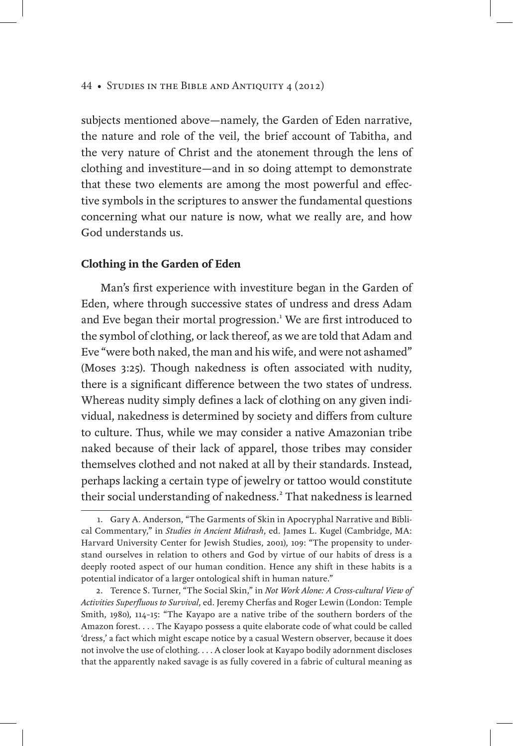subjects mentioned above—namely, the Garden of Eden narrative, the nature and role of the veil, the brief account of Tabitha, and the very nature of Christ and the atonement through the lens of clothing and investiture—and in so doing attempt to demonstrate that these two elements are among the most powerful and effective symbols in the scriptures to answer the fundamental questions concerning what our nature is now, what we really are, and how God understands us.

## **Clothing in the Garden of Eden**

Man's first experience with investiture began in the Garden of Eden, where through successive states of undress and dress Adam and Eve began their mortal progression.<sup>1</sup> We are first introduced to the symbol of clothing, or lack thereof, as we are told that Adam and Eve "were both naked, the man and his wife, and were not ashamed" (Moses 3:25). Though nakedness is often associated with nudity, there is a significant difference between the two states of undress. Whereas nudity simply defines a lack of clothing on any given individual, nakedness is determined by society and differs from culture to culture. Thus, while we may consider a native Amazonian tribe naked because of their lack of apparel, those tribes may consider themselves clothed and not naked at all by their standards. Instead, perhaps lacking a certain type of jewelry or tattoo would constitute their social understanding of nakedness.<sup>2</sup> That nakedness is learned

<sup>1.</sup> Gary A. Anderson, "The Garments of Skin in Apocryphal Narrative and Biblical Commentary," in *Studies in Ancient Midrash*, ed. James L. Kugel (Cambridge, MA: Harvard University Center for Jewish Studies, 2001), 109: "The propensity to understand ourselves in relation to others and God by virtue of our habits of dress is a deeply rooted aspect of our human condition. Hence any shift in these habits is a potential indicator of a larger ontological shift in human nature."

<sup>2.</sup> Terence S. Turner, "The Social Skin," in *Not Work Alone: A Cross-cultural View of Activities Superfluous to Survival*, ed. Jeremy Cherfas and Roger Lewin (London: Temple Smith, 1980), 114–15: "The Kayapo are a native tribe of the southern borders of the Amazon forest. . . . The Kayapo possess a quite elaborate code of what could be called 'dress,' a fact which might escape notice by a casual Western observer, because it does not involve the use of clothing. . . . A closer look at Kayapo bodily adornment discloses that the apparently naked savage is as fully covered in a fabric of cultural meaning as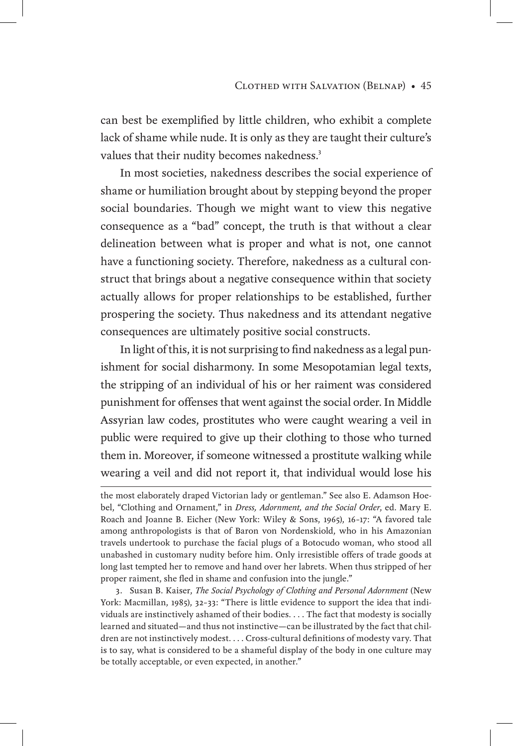can best be exemplified by little children, who exhibit a complete lack of shame while nude. It is only as they are taught their culture's values that their nudity becomes nakedness.<sup>3</sup>

In most societies, nakedness describes the social experience of shame or humiliation brought about by stepping beyond the proper social boundaries. Though we might want to view this negative consequence as a "bad" concept, the truth is that without a clear delineation between what is proper and what is not, one cannot have a functioning society. Therefore, nakedness as a cultural construct that brings about a negative consequence within that society actually allows for proper relationships to be established, further prospering the society. Thus nakedness and its attendant negative consequences are ultimately positive social constructs.

In light of this, it is not surprising to find nakedness as a legal punishment for social disharmony. In some Mesopotamian legal texts, the stripping of an individual of his or her raiment was considered punishment for offenses that went against the social order. In Middle Assyrian law codes, prostitutes who were caught wearing a veil in public were required to give up their clothing to those who turned them in. Moreover, if someone witnessed a prostitute walking while wearing a veil and did not report it, that individual would lose his

3. Susan B. Kaiser, *The Social Psychology of Clothing and Personal Adornment* (New York: Macmillan, 1985), 32–33: "There is little evidence to support the idea that individuals are instinctively ashamed of their bodies. . . . The fact that modesty is socially learned and situated—and thus not instinctive—can be illustrated by the fact that children are not instinctively modest. . . . Cross-cultural definitions of modesty vary. That is to say, what is considered to be a shameful display of the body in one culture may be totally acceptable, or even expected, in another."

the most elaborately draped Victorian lady or gentleman." See also E. Adamson Hoebel, "Clothing and Ornament," in *Dress, Adornment, and the Social Order*, ed. Mary E. Roach and Joanne B. Eicher (New York: Wiley & Sons, 1965), 16–17: "A favored tale among anthropologists is that of Baron von Nordenskiold, who in his Amazonian travels undertook to purchase the facial plugs of a Botocudo woman, who stood all unabashed in customary nudity before him. Only irresistible offers of trade goods at long last tempted her to remove and hand over her labrets. When thus stripped of her proper raiment, she fled in shame and confusion into the jungle."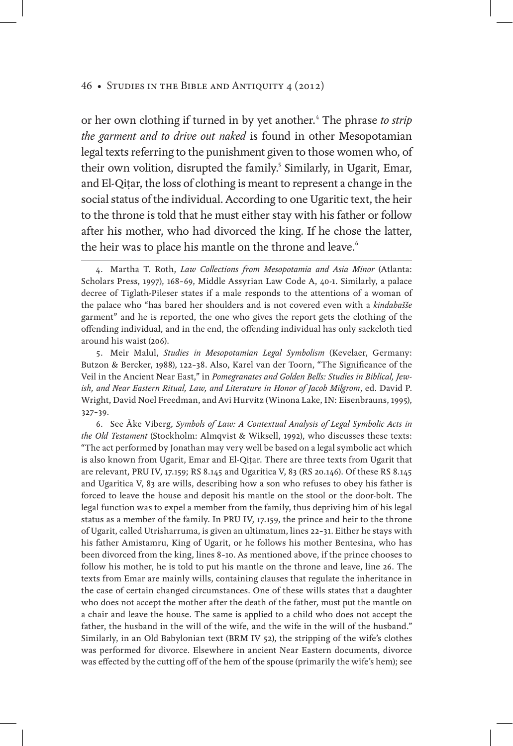or her own clothing if turned in by yet another.<sup>4</sup> The phrase to strip *the garment and to drive out naked* is found in other Mesopotamian legal texts referring to the punishment given to those women who, of their own volition, disrupted the family.<sup>5</sup> Similarly, in Ugarit, Emar, and El-Qiṭar, the loss of clothing is meant to represent a change in the social status of the individual. According to one Ugaritic text, the heir to the throne is told that he must either stay with his father or follow after his mother, who had divorced the king. If he chose the latter, the heir was to place his mantle on the throne and leave.<sup>6</sup>

5. Meir Malul, *Studies in Mesopotamian Legal Symbolism* (Kevelaer, Germany: Butzon & Bercker, 1988), 122–38. Also, Karel van der Toorn, "The Significance of the Veil in the Ancient Near East," in *Pomegranates and Golden Bells: Studies in Biblical, Jewish, and Near Eastern Ritual, Law, and Literature in Honor of Jacob Milgrom*, ed. David P. Wright, David Noel Freedman, and Avi Hurvitz (Winona Lake, IN: Eisenbrauns, 1995), 327–39.

6. See Åke Viberg, *Symbols of Law: A Contextual Analysis of Legal Symbolic Acts in the Old Testament* (Stockholm: Almqvist & Wiksell, 1992), who discusses these texts: "The act performed by Jonathan may very well be based on a legal symbolic act which is also known from Ugarit, Emar and El-Qiṭar. There are three texts from Ugarit that are relevant, PRU IV, 17.159; RS 8.145 and Ugaritica V, 83 (RS 20.146). Of these RS 8.145 and Ugaritica V, 83 are wills, describing how a son who refuses to obey his father is forced to leave the house and deposit his mantle on the stool or the door-bolt. The legal function was to expel a member from the family, thus depriving him of his legal status as a member of the family. In PRU IV, 17.159, the prince and heir to the throne of Ugarit, called Utrisharruma, is given an ultimatum, lines 22–31. Either he stays with his father Amistamru, King of Ugarit, or he follows his mother Bentesina, who has been divorced from the king, lines 8–10. As mentioned above, if the prince chooses to follow his mother, he is told to put his mantle on the throne and leave, line 26. The texts from Emar are mainly wills, containing clauses that regulate the inheritance in the case of certain changed circumstances. One of these wills states that a daughter who does not accept the mother after the death of the father, must put the mantle on a chair and leave the house. The same is applied to a child who does not accept the father, the husband in the will of the wife, and the wife in the will of the husband." Similarly, in an Old Babylonian text (BRM IV 52), the stripping of the wife's clothes was performed for divorce. Elsewhere in ancient Near Eastern documents, divorce was effected by the cutting off of the hem of the spouse (primarily the wife's hem); see

<sup>4.</sup> Martha T. Roth, *Law Collections from Mesopotamia and Asia Minor* (Atlanta: Scholars Press, 1997), 168–69, Middle Assyrian Law Code A, 40-1. Similarly, a palace decree of Tiglath-Pileser states if a male responds to the attentions of a woman of the palace who "has bared her shoulders and is not covered even with a *kindabašše* garment" and he is reported, the one who gives the report gets the clothing of the offending individual, and in the end, the offending individual has only sackcloth tied around his waist (206).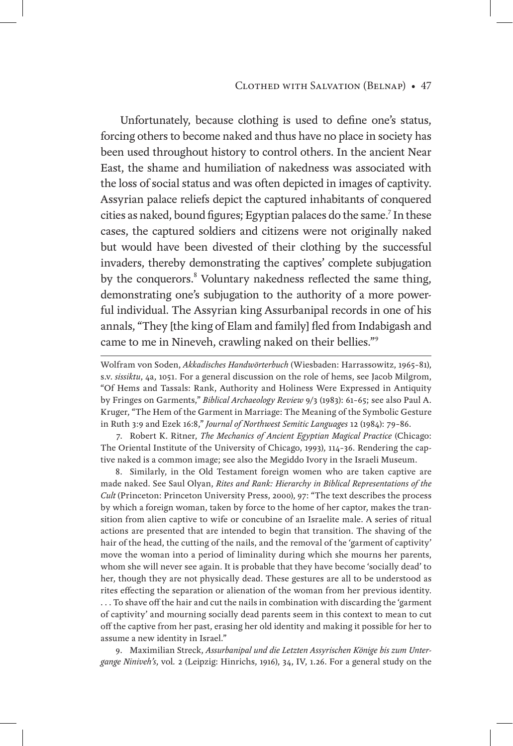#### Clothed with Salvation (Belnap) • 47

Unfortunately, because clothing is used to define one's status, forcing others to become naked and thus have no place in society has been used throughout history to control others. In the ancient Near East, the shame and humiliation of nakedness was associated with the loss of social status and was often depicted in images of captivity. Assyrian palace reliefs depict the captured inhabitants of conquered cities as naked, bound figures; Egyptian palaces do the same.<sup>7</sup> In these cases, the captured soldiers and citizens were not originally naked but would have been divested of their clothing by the successful invaders, thereby demonstrating the captives' complete subjugation by the conquerors.<sup>8</sup> Voluntary nakedness reflected the same thing, demonstrating one's subjugation to the authority of a more powerful individual. The Assyrian king Assurbanipal records in one of his annals, "They [the king of Elam and family] fled from Indabigash and came to me in Nineveh, crawling naked on their bellies."<sup>9</sup>

7. Robert K. Ritner, *The Mechanics of Ancient Egyptian Magical Practice* (Chicago: The Oriental Institute of the University of Chicago, 1993), 114–36. Rendering the captive naked is a common image; see also the Megiddo Ivory in the Israeli Museum.

8. Similarly, in the Old Testament foreign women who are taken captive are made naked. See Saul Olyan, *Rites and Rank: Hierarchy in Biblical Representations of the Cult* (Princeton: Princeton University Press, 2000), 97: "The text describes the process by which a foreign woman, taken by force to the home of her captor, makes the transition from alien captive to wife or concubine of an Israelite male. A series of ritual actions are presented that are intended to begin that transition. The shaving of the hair of the head, the cutting of the nails, and the removal of the 'garment of captivity' move the woman into a period of liminality during which she mourns her parents, whom she will never see again. It is probable that they have become 'socially dead' to her, though they are not physically dead. These gestures are all to be understood as rites effecting the separation or alienation of the woman from her previous identity. . . . To shave off the hair and cut the nails in combination with discarding the 'garment of captivity' and mourning socially dead parents seem in this context to mean to cut off the captive from her past, erasing her old identity and making it possible for her to assume a new identity in Israel."

9. Maximilian Streck, *Assurbanipal und die Letzten Assyrischen Könige bis zum Untergange Niniveh's*, vol*.* 2 (Leipzig: Hinrichs, 1916), 34, IV, 1.26. For a general study on the

Wolfram von Soden, *Akkadisches Handwörterbuch* (Wiesbaden: Harrassowitz, 1965–81), s.v. *sissiktu*, 4a, 1051. For a general discussion on the role of hems, see Jacob Milgrom, "Of Hems and Tassals: Rank, Authority and Holiness Were Expressed in Antiquity by Fringes on Garments," *Biblical Archaeology Review* 9/3 (1983): 61–65; see also Paul A. Kruger, "The Hem of the Garment in Marriage: The Meaning of the Symbolic Gesture in Ruth 3:9 and Ezek 16:8," *Journal of Northwest Semitic Languages* 12 (1984): 79–86.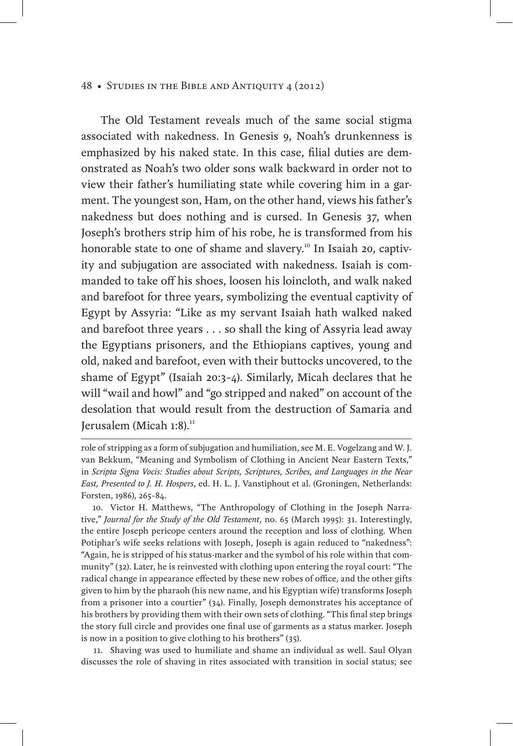The Old Testament reveals much of the same social stigma associated with nakedness. In Genesis 9, Noah's drunkenness is emphasized by his naked state. In this case, filial duties are demonstrated as Noah's two older sons walk backward in order not to view their father's humiliating state while covering him in a garment. The youngest son, Ham, on the other hand, views his father's nakedness but does nothing and is cursed. In Genesis 37, when Joseph's brothers strip him of his robe, he is transformed from his honorable state to one of shame and slavery.<sup>10</sup> In Isaiah 20, captivity and subjugation are associated with nakedness. Isaiah is commanded to take off his shoes, loosen his loincloth, and walk naked and barefoot for three years, symbolizing the eventual captivity of Egypt by Assyria: "Like as my servant Isaiah hath walked naked and barefoot three years . . . so shall the king of Assyria lead away the Egyptians prisoners, and the Ethiopians captives, young and old, naked and barefoot, even with their buttocks uncovered, to the shame of Egypt" (Isaiah 20:3–4). Similarly, Micah declares that he will "wail and howl" and "go stripped and naked" on account of the desolation that would result from the destruction of Samaria and Jerusalem (Micah  $1:8$ ).<sup>11</sup>

11. Shaving was used to humiliate and shame an individual as well. Saul Olyan discusses the role of shaving in rites associated with transition in social status; see

role of stripping as a form of subjugation and humiliation, see M. E. Vogelzang and W. J. van Bekkum, "Meaning and Symbolism of Clothing in Ancient Near Eastern Texts," in *Scripta Signa Vocis: Studies about Scripts, Scriptures, Scribes, and Languages in the Near East, Presented to J. H. Hospers*, ed. H. L. J. Vanstiphout et al. (Groningen, Netherlands: Forsten, 1986), 265–84.

<sup>10.</sup> Victor H. Matthews, "The Anthropology of Clothing in the Joseph Narrative," *Journal for the Study of the Old Testament*, no. 65 (March 1995): 31. Interestingly, the entire Joseph pericope centers around the reception and loss of clothing. When Potiphar's wife seeks relations with Joseph, Joseph is again reduced to "nakedness": "Again, he is stripped of his status-marker and the symbol of his role within that community" (32). Later, he is reinvested with clothing upon entering the royal court: "The radical change in appearance effected by these new robes of office, and the other gifts given to him by the pharaoh (his new name, and his Egyptian wife) transforms Joseph from a prisoner into a courtier" (34). Finally, Joseph demonstrates his acceptance of his brothers by providing them with their own sets of clothing. "This final step brings the story full circle and provides one final use of garments as a status marker. Joseph is now in a position to give clothing to his brothers" (35).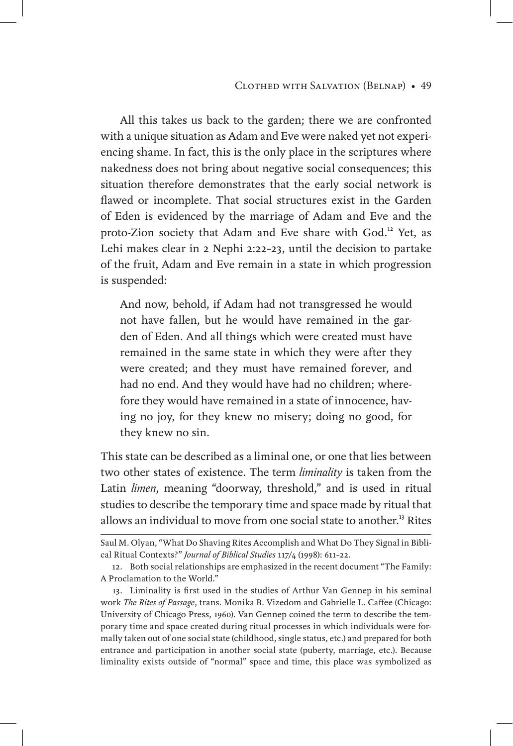All this takes us back to the garden; there we are confronted with a unique situation as Adam and Eve were naked yet not experiencing shame. In fact, this is the only place in the scriptures where nakedness does not bring about negative social consequences; this situation therefore demonstrates that the early social network is flawed or incomplete. That social structures exist in the Garden of Eden is evidenced by the marriage of Adam and Eve and the proto-Zion society that Adam and Eve share with God.<sup>12</sup> Yet, as Lehi makes clear in 2 Nephi 2:22–23, until the decision to partake of the fruit, Adam and Eve remain in a state in which progression is suspended:

And now, behold, if Adam had not transgressed he would not have fallen, but he would have remained in the garden of Eden. And all things which were created must have remained in the same state in which they were after they were created; and they must have remained forever, and had no end. And they would have had no children; wherefore they would have remained in a state of innocence, having no joy, for they knew no misery; doing no good, for they knew no sin.

This state can be described as a liminal one, or one that lies between two other states of existence. The term *liminality* is taken from the Latin *limen*, meaning "doorway, threshold," and is used in ritual studies to describe the temporary time and space made by ritual that allows an individual to move from one social state to another.<sup>13</sup> Rites

Saul M. Olyan, "What Do Shaving Rites Accomplish and What Do They Signal in Biblical Ritual Contexts?" *Journal of Biblical Studies* 117/4 (1998): 611–22.

<sup>12.</sup> Both social relationships are emphasized in the recent document "The Family: A Proclamation to the World."

<sup>13.</sup> Liminality is first used in the studies of Arthur Van Gennep in his seminal work *The Rites of Passage*, trans. Monika B. Vizedom and Gabrielle L. Caffee (Chicago: University of Chicago Press, 1960). Van Gennep coined the term to describe the temporary time and space created during ritual processes in which individuals were formally taken out of one social state (childhood, single status, etc.) and prepared for both entrance and participation in another social state (puberty, marriage, etc.). Because liminality exists outside of "normal" space and time, this place was symbolized as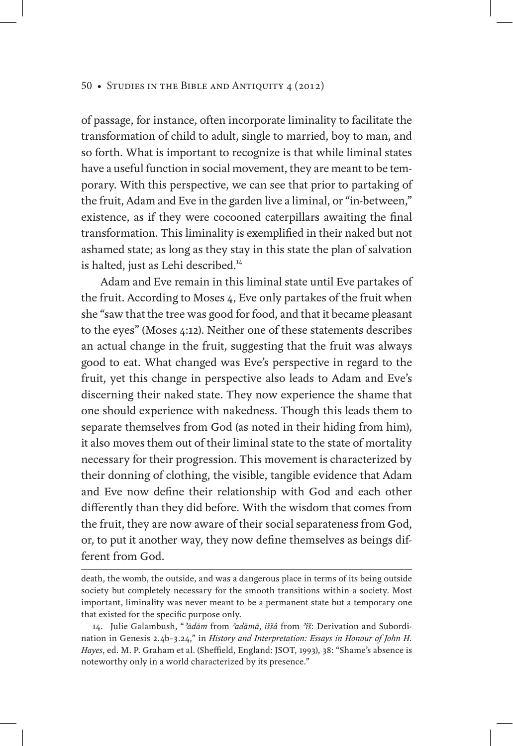of passage, for instance, often incorporate liminality to facilitate the transformation of child to adult, single to married, boy to man, and so forth. What is important to recognize is that while liminal states have a useful function in social movement, they are meant to be temporary. With this perspective, we can see that prior to partaking of the fruit, Adam and Eve in the garden live a liminal, or "in-between," existence, as if they were cocooned caterpillars awaiting the final transformation. This liminality is exemplified in their naked but not ashamed state; as long as they stay in this state the plan of salvation is halted, just as Lehi described.<sup>14</sup>

Adam and Eve remain in this liminal state until Eve partakes of the fruit. According to Moses 4, Eve only partakes of the fruit when she "saw that the tree was good for food, and that it became pleasant to the eyes" (Moses 4:12). Neither one of these statements describes an actual change in the fruit, suggesting that the fruit was always good to eat. What changed was Eve's perspective in regard to the fruit, yet this change in perspective also leads to Adam and Eve's discerning their naked state. They now experience the shame that one should experience with nakedness. Though this leads them to separate themselves from God (as noted in their hiding from him), it also moves them out of their liminal state to the state of mortality necessary for their progression. This movement is characterized by their donning of clothing, the visible, tangible evidence that Adam and Eve now define their relationship with God and each other differently than they did before. With the wisdom that comes from the fruit, they are now aware of their social separateness from God, or, to put it another way, they now define themselves as beings different from God.

death, the womb, the outside, and was a dangerous place in terms of its being outside society but completely necessary for the smooth transitions within a society. Most important, liminality was never meant to be a permanent state but a temporary one that existed for the specific purpose only.

<sup>14.</sup> Julie Galambush, "*ʾādām* from *ʾadāmā*, *iššâ* from *ʾîš*: Derivation and Subordination in Genesis 2.4b–3.24," in *History and Interpretation: Essays in Honour of John H. Hayes*, ed. M. P. Graham et al. (Sheffield, England: JSOT, 1993), 38: "Shame's absence is noteworthy only in a world characterized by its presence."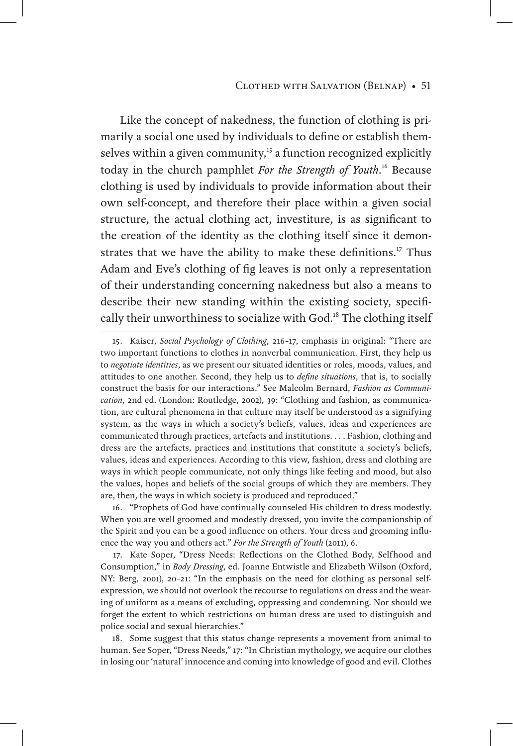#### Clothed with Salvation (Belnap) • 51

Like the concept of nakedness, the function of clothing is primarily a social one used by individuals to define or establish themselves within a given community,<sup>15</sup> a function recognized explicitly today in the church pamphlet *For the Strength of Youth*. 16 Because clothing is used by individuals to provide information about their own self-concept, and therefore their place within a given social structure, the actual clothing act, investiture, is as significant to the creation of the identity as the clothing itself since it demonstrates that we have the ability to make these definitions.<sup>17</sup> Thus Adam and Eve's clothing of fig leaves is not only a representation of their understanding concerning nakedness but also a means to describe their new standing within the existing society, specifically their unworthiness to socialize with God.<sup>18</sup> The clothing itself

16. "Prophets of God have continually counseled His children to dress modestly. When you are well groomed and modestly dressed, you invite the companionship of the Spirit and you can be a good influence on others. Your dress and grooming influence the way you and others act." *For the Strength of Youth* (2011), 6.

17. Kate Soper, "Dress Needs: Reflections on the Clothed Body, Selfhood and Consumption," in *Body Dressing*, ed. Joanne Entwistle and Elizabeth Wilson (Oxford, NY: Berg, 2001), 20–21: "In the emphasis on the need for clothing as personal selfexpression, we should not overlook the recourse to regulations on dress and the wearing of uniform as a means of excluding, oppressing and condemning. Nor should we forget the extent to which restrictions on human dress are used to distinguish and police social and sexual hierarchies."

18. Some suggest that this status change represents a movement from animal to human. See Soper, "Dress Needs," 17: "In Christian mythology, we acquire our clothes in losing our 'natural' innocence and coming into knowledge of good and evil. Clothes

<sup>15.</sup> Kaiser, *Social Psychology of Clothing*, 216–17, emphasis in original: "There are two important functions to clothes in nonverbal communication. First, they help us to *negotiate identities*, as we present our situated identities or roles, moods, values, and attitudes to one another. Second, they help us to *define situations*, that is, to socially construct the basis for our interactions." See Malcolm Bernard, *Fashion as Communication*, 2nd ed. (London: Routledge, 2002), 39: "Clothing and fashion, as communication, are cultural phenomena in that culture may itself be understood as a signifying system, as the ways in which a society's beliefs, values, ideas and experiences are communicated through practices, artefacts and institutions. . . . Fashion, clothing and dress are the artefacts, practices and institutions that constitute a society's beliefs, values, ideas and experiences. According to this view, fashion, dress and clothing are ways in which people communicate, not only things like feeling and mood, but also the values, hopes and beliefs of the social groups of which they are members. They are, then, the ways in which society is produced and reproduced."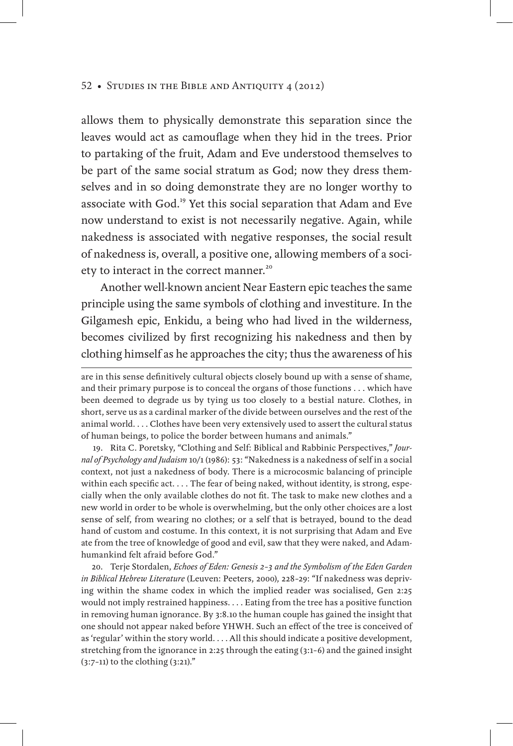allows them to physically demonstrate this separation since the leaves would act as camouflage when they hid in the trees. Prior to partaking of the fruit, Adam and Eve understood themselves to be part of the same social stratum as God; now they dress themselves and in so doing demonstrate they are no longer worthy to associate with God.<sup>19</sup> Yet this social separation that Adam and Eve now understand to exist is not necessarily negative. Again, while nakedness is associated with negative responses, the social result of nakedness is, overall, a positive one, allowing members of a society to interact in the correct manner.<sup>20</sup>

Another well-known ancient Near Eastern epic teaches the same principle using the same symbols of clothing and investiture. In the Gilgamesh epic, Enkidu, a being who had lived in the wilderness, becomes civilized by first recognizing his nakedness and then by clothing himself as he approaches the city; thus the awareness of his

19. Rita C. Poretsky, "Clothing and Self: Biblical and Rabbinic Perspectives," *Journal of Psychology and Judaism* 10/1 (1986): 53: "Nakedness is a nakedness of self in a social context, not just a nakedness of body. There is a microcosmic balancing of principle within each specific act. . . . The fear of being naked, without identity, is strong, especially when the only available clothes do not fit. The task to make new clothes and a new world in order to be whole is overwhelming, but the only other choices are a lost sense of self, from wearing no clothes; or a self that is betrayed, bound to the dead hand of custom and costume. In this context, it is not surprising that Adam and Eve ate from the tree of knowledge of good and evil, saw that they were naked, and Adamhumankind felt afraid before God."

20. Terje Stordalen, *Echoes of Eden: Genesis 2–3 and the Symbolism of the Eden Garden in Biblical Hebrew Literature* (Leuven: Peeters, 2000), 228–29: "If nakedness was depriving within the shame codex in which the implied reader was socialised, Gen 2:25 would not imply restrained happiness. . . . Eating from the tree has a positive function in removing human ignorance. By 3:8.10 the human couple has gained the insight that one should not appear naked before YHWH. Such an effect of the tree is conceived of as 'regular' within the story world. . . . All this should indicate a positive development, stretching from the ignorance in 2:25 through the eating (3:1–6) and the gained insight (3:7–11) to the clothing (3:21)."

are in this sense definitively cultural objects closely bound up with a sense of shame, and their primary purpose is to conceal the organs of those functions . . . which have been deemed to degrade us by tying us too closely to a bestial nature. Clothes, in short, serve us as a cardinal marker of the divide between ourselves and the rest of the animal world. . . . Clothes have been very extensively used to assert the cultural status of human beings, to police the border between humans and animals."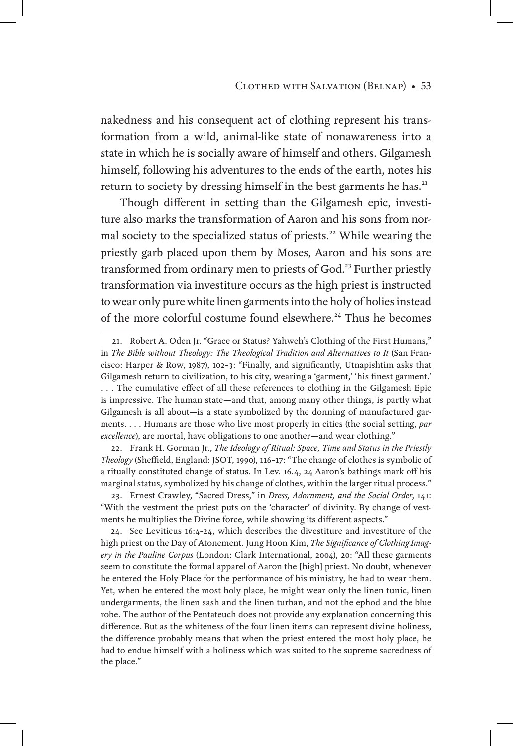nakedness and his consequent act of clothing represent his transformation from a wild, animal-like state of nonawareness into a state in which he is socially aware of himself and others. Gilgamesh himself, following his adventures to the ends of the earth, notes his return to society by dressing himself in the best garments he has.<sup>21</sup>

Though different in setting than the Gilgamesh epic, investiture also marks the transformation of Aaron and his sons from normal society to the specialized status of priests.<sup>22</sup> While wearing the priestly garb placed upon them by Moses, Aaron and his sons are transformed from ordinary men to priests of God.<sup>23</sup> Further priestly transformation via investiture occurs as the high priest is instructed to wear only pure white linen garments into the holy of holies instead of the more colorful costume found elsewhere.<sup>24</sup> Thus he becomes

22. Frank H. Gorman Jr., *The Ideology of Ritual: Space, Time and Status in the Priestly Theology* (Sheffield, England: JSOT, 1990), 116–17: "The change of clothes is symbolic of a ritually constituted change of status. In Lev. 16.4, 24 Aaron's bathings mark off his marginal status, symbolized by his change of clothes, within the larger ritual process."

23. Ernest Crawley, "Sacred Dress," in *Dress, Adornment, and the Social Order*, 141: "With the vestment the priest puts on the 'character' of divinity. By change of vestments he multiplies the Divine force, while showing its different aspects."

24. See Leviticus 16:4–24, which describes the divestiture and investiture of the high priest on the Day of Atonement. Jung Hoon Kim, *The Significance of Clothing Imagery in the Pauline Corpus* (London: Clark International, 2004), 20: "All these garments seem to constitute the formal apparel of Aaron the [high] priest. No doubt, whenever he entered the Holy Place for the performance of his ministry, he had to wear them. Yet, when he entered the most holy place, he might wear only the linen tunic, linen undergarments, the linen sash and the linen turban, and not the ephod and the blue robe. The author of the Pentateuch does not provide any explanation concerning this difference. But as the whiteness of the four linen items can represent divine holiness, the difference probably means that when the priest entered the most holy place, he had to endue himself with a holiness which was suited to the supreme sacredness of the place."

<sup>21.</sup> Robert A. Oden Jr. "Grace or Status? Yahweh's Clothing of the First Humans," in *The Bible without Theology: The Theological Tradition and Alternatives to It* (San Francisco: Harper & Row, 1987), 102–3: "Finally, and significantly, Utnapishtim asks that Gilgamesh return to civilization, to his city, wearing a 'garment,' 'his finest garment.' . . . The cumulative effect of all these references to clothing in the Gilgamesh Epic is impressive. The human state—and that, among many other things, is partly what Gilgamesh is all about—is a state symbolized by the donning of manufactured garments. . . . Humans are those who live most properly in cities (the social setting, *par excellence*), are mortal, have obligations to one another—and wear clothing."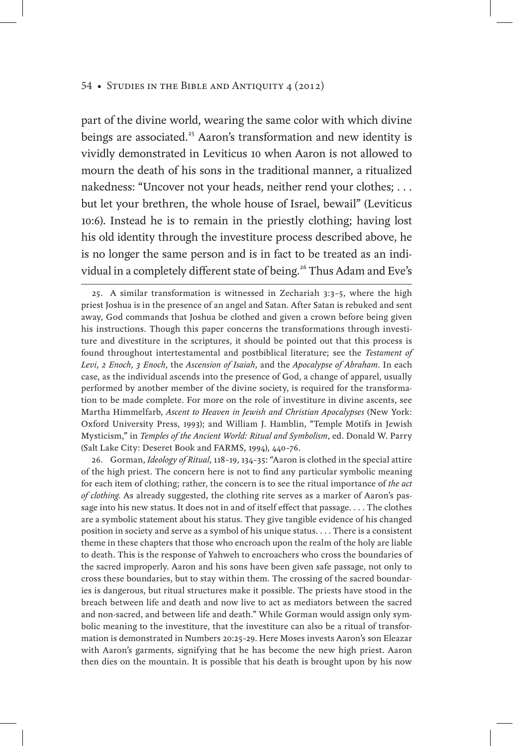part of the divine world, wearing the same color with which divine beings are associated.<sup>25</sup> Aaron's transformation and new identity is vividly demonstrated in Leviticus 10 when Aaron is not allowed to mourn the death of his sons in the traditional manner, a ritualized nakedness: "Uncover not your heads, neither rend your clothes; . . . but let your brethren, the whole house of Israel, bewail" (Leviticus 10:6). Instead he is to remain in the priestly clothing; having lost his old identity through the investiture process described above, he is no longer the same person and is in fact to be treated as an individual in a completely different state of being.<sup>26</sup> Thus Adam and Eve's

26. Gorman, *Ideology of Ritual*, 118–19, 134–35: "Aaron is clothed in the special attire of the high priest. The concern here is not to find any particular symbolic meaning for each item of clothing; rather, the concern is to see the ritual importance of *the act of clothing*. As already suggested, the clothing rite serves as a marker of Aaron's passage into his new status. It does not in and of itself effect that passage. . . . The clothes are a symbolic statement about his status. They give tangible evidence of his changed position in society and serve as a symbol of his unique status. . . . There is a consistent theme in these chapters that those who encroach upon the realm of the holy are liable to death. This is the response of Yahweh to encroachers who cross the boundaries of the sacred improperly. Aaron and his sons have been given safe passage, not only to cross these boundaries, but to stay within them. The crossing of the sacred boundaries is dangerous, but ritual structures make it possible. The priests have stood in the breach between life and death and now live to act as mediators between the sacred and non-sacred, and between life and death." While Gorman would assign only symbolic meaning to the investiture, that the investiture can also be a ritual of transformation is demonstrated in Numbers 20:25–29. Here Moses invests Aaron's son Eleazar with Aaron's garments, signifying that he has become the new high priest. Aaron then dies on the mountain. It is possible that his death is brought upon by his now

<sup>25.</sup> A similar transformation is witnessed in Zechariah 3:3–5, where the high priest Joshua is in the presence of an angel and Satan. After Satan is rebuked and sent away, God commands that Joshua be clothed and given a crown before being given his instructions. Though this paper concerns the transformations through investiture and divestiture in the scriptures, it should be pointed out that this process is found throughout intertestamental and postbiblical literature; see the *Testament of Levi*, *2 Enoch*, *3 Enoch*, the *Ascension of Isaiah*, and the *Apocalypse of Abraham*. In each case, as the individual ascends into the presence of God, a change of apparel, usually performed by another member of the divine society, is required for the transformation to be made complete. For more on the role of investiture in divine ascents, see Martha Himmelfarb, *Ascent to Heaven in Jewish and Christian Apocalypses* (New York: Oxford University Press, 1993); and William J. Hamblin, "Temple Motifs in Jewish Mysticism," in *Temples of the Ancient World: Ritual and Symbolism*, ed. Donald W. Parry (Salt Lake City: Deseret Book and FARMS, 1994), 440–76.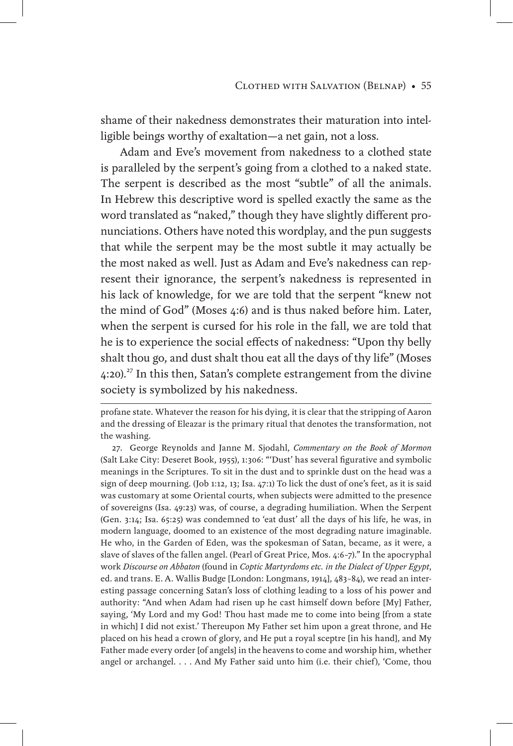shame of their nakedness demonstrates their maturation into intelligible beings worthy of exaltation—a net gain, not a loss.

Adam and Eve's movement from nakedness to a clothed state is paralleled by the serpent's going from a clothed to a naked state. The serpent is described as the most "subtle" of all the animals. In Hebrew this descriptive word is spelled exactly the same as the word translated as "naked," though they have slightly different pronunciations. Others have noted this wordplay, and the pun suggests that while the serpent may be the most subtle it may actually be the most naked as well. Just as Adam and Eve's nakedness can represent their ignorance, the serpent's nakedness is represented in his lack of knowledge, for we are told that the serpent "knew not the mind of God" (Moses 4:6) and is thus naked before him. Later, when the serpent is cursed for his role in the fall, we are told that he is to experience the social effects of nakedness: "Upon thy belly shalt thou go, and dust shalt thou eat all the days of thy life" (Moses 4:20).<sup>27</sup> In this then, Satan's complete estrangement from the divine society is symbolized by his nakedness.

27. George Reynolds and Janne M. Sjodahl, *Commentary on the Book of Mormon* (Salt Lake City: Deseret Book, 1955), 1:306: "'Dust' has several figurative and symbolic meanings in the Scriptures. To sit in the dust and to sprinkle dust on the head was a sign of deep mourning. (Job 1:12, 13; Isa. 47:1) To lick the dust of one's feet, as it is said was customary at some Oriental courts, when subjects were admitted to the presence of sovereigns (Isa. 49:23) was, of course, a degrading humiliation. When the Serpent (Gen. 3:14; Isa. 65:25) was condemned to 'eat dust' all the days of his life, he was, in modern language, doomed to an existence of the most degrading nature imaginable. He who, in the Garden of Eden, was the spokesman of Satan, became, as it were, a slave of slaves of the fallen angel. (Pearl of Great Price, Mos. 4:6–7)." In the apocryphal work *Discourse on Abbaton* (found in *Coptic Martyrdoms etc. in the Dialect of Upper Egypt*, ed. and trans. E. A. Wallis Budge [London: Longmans, 1914], 483–84), we read an interesting passage concerning Satan's loss of clothing leading to a loss of his power and authority: "And when Adam had risen up he cast himself down before [My] Father, saying, 'My Lord and my God! Thou hast made me to come into being [from a state in which] I did not exist.' Thereupon My Father set him upon a great throne, and He placed on his head a crown of glory, and He put a royal sceptre [in his hand], and My Father made every order [of angels] in the heavens to come and worship him, whether angel or archangel. . . . And My Father said unto him (i.e. their chief), 'Come, thou

profane state. Whatever the reason for his dying, it is clear that the stripping of Aaron and the dressing of Eleazar is the primary ritual that denotes the transformation, not the washing.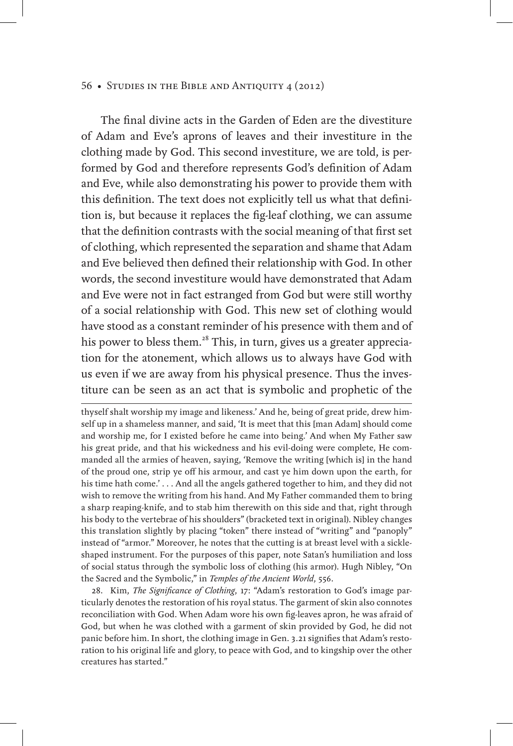The final divine acts in the Garden of Eden are the divestiture of Adam and Eve's aprons of leaves and their investiture in the clothing made by God. This second investiture, we are told, is performed by God and therefore represents God's definition of Adam and Eve, while also demonstrating his power to provide them with this definition. The text does not explicitly tell us what that definition is, but because it replaces the fig-leaf clothing, we can assume that the definition contrasts with the social meaning of that first set of clothing, which represented the separation and shame that Adam and Eve believed then defined their relationship with God. In other words, the second investiture would have demonstrated that Adam and Eve were not in fact estranged from God but were still worthy of a social relationship with God. This new set of clothing would have stood as a constant reminder of his presence with them and of his power to bless them.<sup>28</sup> This, in turn, gives us a greater appreciation for the atonement, which allows us to always have God with us even if we are away from his physical presence. Thus the investiture can be seen as an act that is symbolic and prophetic of the

thyself shalt worship my image and likeness.' And he, being of great pride, drew himself up in a shameless manner, and said, 'It is meet that this [man Adam] should come and worship me, for I existed before he came into being.' And when My Father saw his great pride, and that his wickedness and his evil-doing were complete, He commanded all the armies of heaven, saying, 'Remove the writing [which is] in the hand of the proud one, strip ye off his armour, and cast ye him down upon the earth, for his time hath come.' . . . And all the angels gathered together to him, and they did not wish to remove the writing from his hand. And My Father commanded them to bring a sharp reaping-knife, and to stab him therewith on this side and that, right through his body to the vertebrae of his shoulders" (bracketed text in original). Nibley changes this translation slightly by placing "token" there instead of "writing" and "panoply" instead of "armor." Moreover, he notes that the cutting is at breast level with a sickleshaped instrument. For the purposes of this paper, note Satan's humiliation and loss of social status through the symbolic loss of clothing (his armor). Hugh Nibley, "On the Sacred and the Symbolic," in *Temples of the Ancient World*, 556.

28. Kim, *The Significance of Clothing*, 17: "Adam's restoration to God's image particularly denotes the restoration of his royal status. The garment of skin also connotes reconciliation with God. When Adam wore his own fig-leaves apron, he was afraid of God, but when he was clothed with a garment of skin provided by God, he did not panic before him. In short, the clothing image in Gen. 3.21 signifies that Adam's restoration to his original life and glory, to peace with God, and to kingship over the other creatures has started."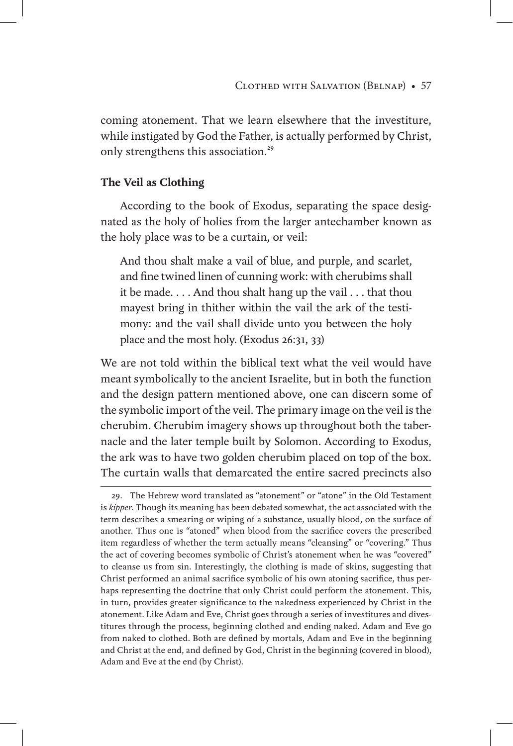coming atonement. That we learn elsewhere that the investiture, while instigated by God the Father, is actually performed by Christ, only strengthens this association.<sup>29</sup>

# **The Veil as Clothing**

According to the book of Exodus, separating the space designated as the holy of holies from the larger antechamber known as the holy place was to be a curtain, or veil:

And thou shalt make a vail of blue, and purple, and scarlet, and fine twined linen of cunning work: with cherubims shall it be made. . . . And thou shalt hang up the vail . . . that thou mayest bring in thither within the vail the ark of the testimony: and the vail shall divide unto you between the holy place and the most holy. (Exodus 26:31, 33)

We are not told within the biblical text what the veil would have meant symbolically to the ancient Israelite, but in both the function and the design pattern mentioned above, one can discern some of the symbolic import of the veil. The primary image on the veil is the cherubim. Cherubim imagery shows up throughout both the tabernacle and the later temple built by Solomon. According to Exodus, the ark was to have two golden cherubim placed on top of the box. The curtain walls that demarcated the entire sacred precincts also

<sup>29.</sup> The Hebrew word translated as "atonement" or "atone" in the Old Testament is *kipper*. Though its meaning has been debated somewhat, the act associated with the term describes a smearing or wiping of a substance, usually blood, on the surface of another. Thus one is "atoned" when blood from the sacrifice covers the prescribed item regardless of whether the term actually means "cleansing" or "covering." Thus the act of covering becomes symbolic of Christ's atonement when he was "covered" to cleanse us from sin. Interestingly, the clothing is made of skins, suggesting that Christ performed an animal sacrifice symbolic of his own atoning sacrifice, thus perhaps representing the doctrine that only Christ could perform the atonement. This, in turn, provides greater significance to the nakedness experienced by Christ in the atonement. Like Adam and Eve, Christ goes through a series of investitures and divestitures through the process, beginning clothed and ending naked. Adam and Eve go from naked to clothed. Both are defined by mortals, Adam and Eve in the beginning and Christ at the end, and defined by God, Christ in the beginning (covered in blood), Adam and Eve at the end (by Christ).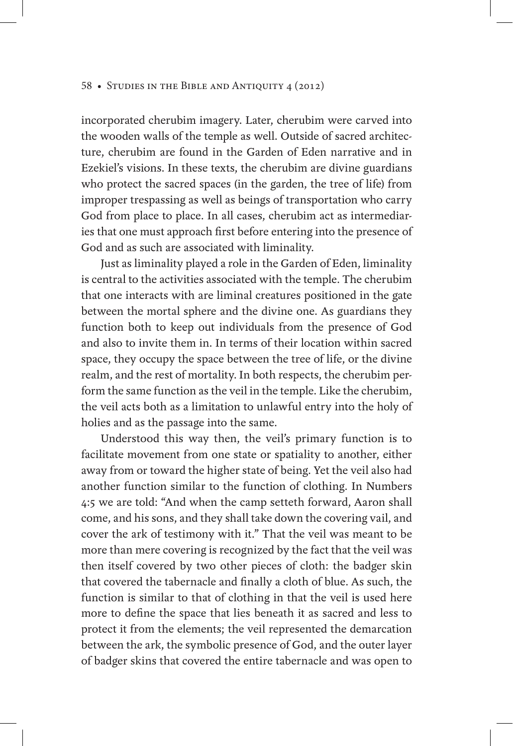incorporated cherubim imagery. Later, cherubim were carved into the wooden walls of the temple as well. Outside of sacred architecture, cherubim are found in the Garden of Eden narrative and in Ezekiel's visions. In these texts, the cherubim are divine guardians who protect the sacred spaces (in the garden, the tree of life) from improper trespassing as well as beings of transportation who carry God from place to place. In all cases, cherubim act as intermediaries that one must approach first before entering into the presence of God and as such are associated with liminality.

Just as liminality played a role in the Garden of Eden, liminality is central to the activities associated with the temple. The cherubim that one interacts with are liminal creatures positioned in the gate between the mortal sphere and the divine one. As guardians they function both to keep out individuals from the presence of God and also to invite them in. In terms of their location within sacred space, they occupy the space between the tree of life, or the divine realm, and the rest of mortality. In both respects, the cherubim perform the same function as the veil in the temple. Like the cherubim, the veil acts both as a limitation to unlawful entry into the holy of holies and as the passage into the same.

Understood this way then, the veil's primary function is to facilitate movement from one state or spatiality to another, either away from or toward the higher state of being. Yet the veil also had another function similar to the function of clothing. In Numbers 4:5 we are told: "And when the camp setteth forward, Aaron shall come, and his sons, and they shall take down the covering vail, and cover the ark of testimony with it." That the veil was meant to be more than mere covering is recognized by the fact that the veil was then itself covered by two other pieces of cloth: the badger skin that covered the tabernacle and finally a cloth of blue. As such, the function is similar to that of clothing in that the veil is used here more to define the space that lies beneath it as sacred and less to protect it from the elements; the veil represented the demarcation between the ark, the symbolic presence of God, and the outer layer of badger skins that covered the entire tabernacle and was open to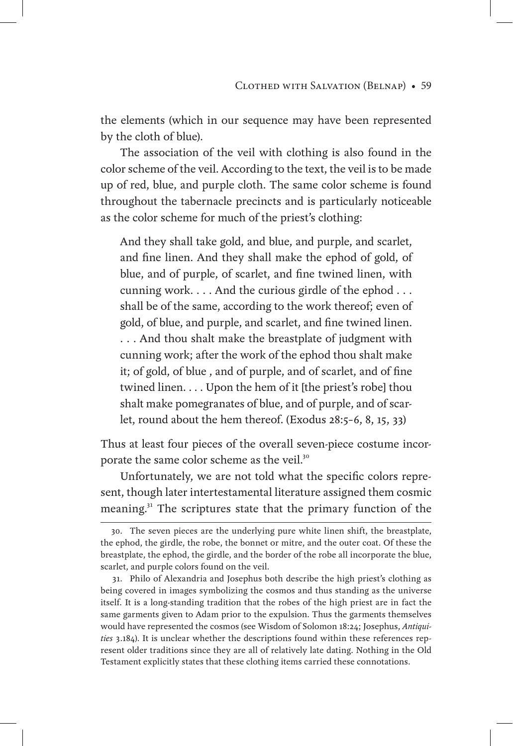the elements (which in our sequence may have been represented by the cloth of blue).

The association of the veil with clothing is also found in the color scheme of the veil. According to the text, the veil is to be made up of red, blue, and purple cloth. The same color scheme is found throughout the tabernacle precincts and is particularly noticeable as the color scheme for much of the priest's clothing:

And they shall take gold, and blue, and purple, and scarlet, and fine linen. And they shall make the ephod of gold, of blue, and of purple, of scarlet, and fine twined linen, with cunning work. . . . And the curious girdle of the ephod . . . shall be of the same, according to the work thereof; even of gold, of blue, and purple, and scarlet, and fine twined linen. . . . And thou shalt make the breastplate of judgment with cunning work; after the work of the ephod thou shalt make it; of gold, of blue , and of purple, and of scarlet, and of fine twined linen. . . . Upon the hem of it [the priest's robe] thou shalt make pomegranates of blue, and of purple, and of scarlet, round about the hem thereof. (Exodus 28:5–6, 8, 15, 33)

Thus at least four pieces of the overall seven-piece costume incorporate the same color scheme as the veil.<sup>30</sup>

Unfortunately, we are not told what the specific colors represent, though later intertestamental literature assigned them cosmic meaning.<sup>31</sup> The scriptures state that the primary function of the

<sup>30.</sup> The seven pieces are the underlying pure white linen shift, the breastplate, the ephod, the girdle, the robe, the bonnet or mitre, and the outer coat. Of these the breastplate, the ephod, the girdle, and the border of the robe all incorporate the blue, scarlet, and purple colors found on the veil.

<sup>31.</sup> Philo of Alexandria and Josephus both describe the high priest's clothing as being covered in images symbolizing the cosmos and thus standing as the universe itself. It is a long-standing tradition that the robes of the high priest are in fact the same garments given to Adam prior to the expulsion. Thus the garments themselves would have represented the cosmos (see Wisdom of Solomon 18:24; Josephus, *Antiquities* 3.184). It is unclear whether the descriptions found within these references represent older traditions since they are all of relatively late dating. Nothing in the Old Testament explicitly states that these clothing items carried these connotations.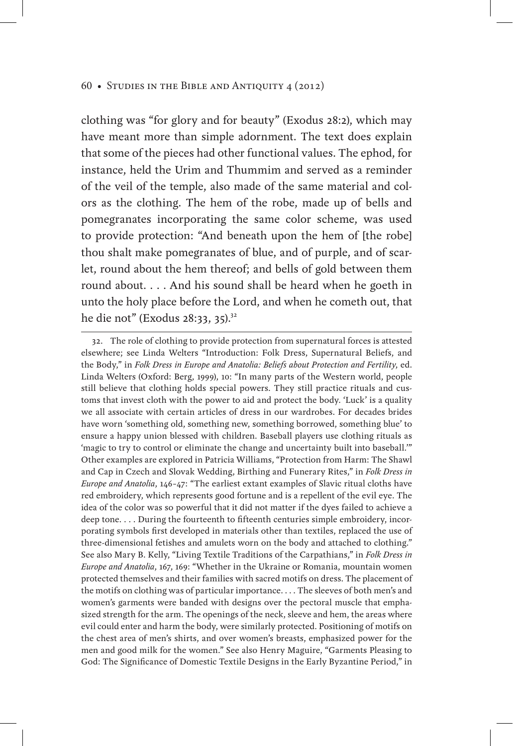clothing was "for glory and for beauty" (Exodus 28:2), which may have meant more than simple adornment. The text does explain that some of the pieces had other functional values. The ephod, for instance, held the Urim and Thummim and served as a reminder of the veil of the temple, also made of the same material and colors as the clothing. The hem of the robe, made up of bells and pomegranates incorporating the same color scheme, was used to provide protection: "And beneath upon the hem of [the robe] thou shalt make pomegranates of blue, and of purple, and of scarlet, round about the hem thereof; and bells of gold between them round about. . . . And his sound shall be heard when he goeth in unto the holy place before the Lord, and when he cometh out, that he die not" (Exodus 28:33, 35).<sup>32</sup>

<sup>32.</sup> The role of clothing to provide protection from supernatural forces is attested elsewhere; see Linda Welters "Introduction: Folk Dress, Supernatural Beliefs, and the Body," in *Folk Dress in Europe and Anatolia: Beliefs about Protection and Fertility*, ed. Linda Welters (Oxford: Berg, 1999), 10: "In many parts of the Western world, people still believe that clothing holds special powers. They still practice rituals and customs that invest cloth with the power to aid and protect the body. 'Luck' is a quality we all associate with certain articles of dress in our wardrobes. For decades brides have worn 'something old, something new, something borrowed, something blue' to ensure a happy union blessed with children. Baseball players use clothing rituals as 'magic to try to control or eliminate the change and uncertainty built into baseball.'" Other examples are explored in Patricia Williams, "Protection from Harm: The Shawl and Cap in Czech and Slovak Wedding, Birthing and Funerary Rites," in *Folk Dress in Europe and Anatolia*, 146–47: "The earliest extant examples of Slavic ritual cloths have red embroidery, which represents good fortune and is a repellent of the evil eye. The idea of the color was so powerful that it did not matter if the dyes failed to achieve a deep tone. . . . During the fourteenth to fifteenth centuries simple embroidery, incorporating symbols first developed in materials other than textiles, replaced the use of three-dimensional fetishes and amulets worn on the body and attached to clothing." See also Mary B. Kelly, "Living Textile Traditions of the Carpathians," in *Folk Dress in Europe and Anatolia*, 167, 169: "Whether in the Ukraine or Romania, mountain women protected themselves and their families with sacred motifs on dress. The placement of the motifs on clothing was of particular importance. . . . The sleeves of both men's and women's garments were banded with designs over the pectoral muscle that emphasized strength for the arm. The openings of the neck, sleeve and hem, the areas where evil could enter and harm the body, were similarly protected. Positioning of motifs on the chest area of men's shirts, and over women's breasts, emphasized power for the men and good milk for the women." See also Henry Maguire, "Garments Pleasing to God: The Significance of Domestic Textile Designs in the Early Byzantine Period," in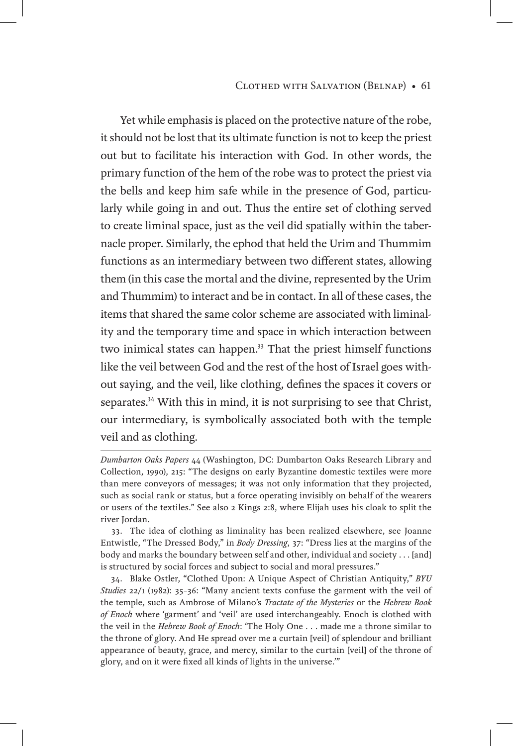#### Clothed with Salvation (Belnap) • 61

Yet while emphasis is placed on the protective nature of the robe, it should not be lost that its ultimate function is not to keep the priest out but to facilitate his interaction with God. In other words, the primary function of the hem of the robe was to protect the priest via the bells and keep him safe while in the presence of God, particularly while going in and out. Thus the entire set of clothing served to create liminal space, just as the veil did spatially within the tabernacle proper. Similarly, the ephod that held the Urim and Thummim functions as an intermediary between two different states, allowing them (in this case the mortal and the divine, represented by the Urim and Thummim) to interact and be in contact. In all of these cases, the items that shared the same color scheme are associated with liminality and the temporary time and space in which interaction between two inimical states can happen.<sup>33</sup> That the priest himself functions like the veil between God and the rest of the host of Israel goes without saying, and the veil, like clothing, defines the spaces it covers or separates.<sup>34</sup> With this in mind, it is not surprising to see that Christ, our intermediary, is symbolically associated both with the temple veil and as clothing.

*Dumbarton Oaks Papers* 44 (Washington, DC: Dumbarton Oaks Research Library and Collection, 1990), 215: "The designs on early Byzantine domestic textiles were more than mere conveyors of messages; it was not only information that they projected, such as social rank or status, but a force operating invisibly on behalf of the wearers or users of the textiles." See also 2 Kings 2:8, where Elijah uses his cloak to split the river Jordan.

<sup>33.</sup> The idea of clothing as liminality has been realized elsewhere, see Joanne Entwistle, "The Dressed Body," in *Body Dressing*, 37: "Dress lies at the margins of the body and marks the boundary between self and other, individual and society . . . [and] is structured by social forces and subject to social and moral pressures."

<sup>34.</sup> Blake Ostler, "Clothed Upon: A Unique Aspect of Christian Antiquity," *BYU Studies* 22/1 (1982): 35–36: "Many ancient texts confuse the garment with the veil of the temple, such as Ambrose of Milano's *Tractate of the Mysteries* or the *Hebrew Book of Enoch* where 'garment' and 'veil' are used interchangeably. Enoch is clothed with the veil in the *Hebrew Book of Enoch*: 'The Holy One . . . made me a throne similar to the throne of glory. And He spread over me a curtain [veil] of splendour and brilliant appearance of beauty, grace, and mercy, similar to the curtain [veil] of the throne of glory, and on it were fixed all kinds of lights in the universe.'"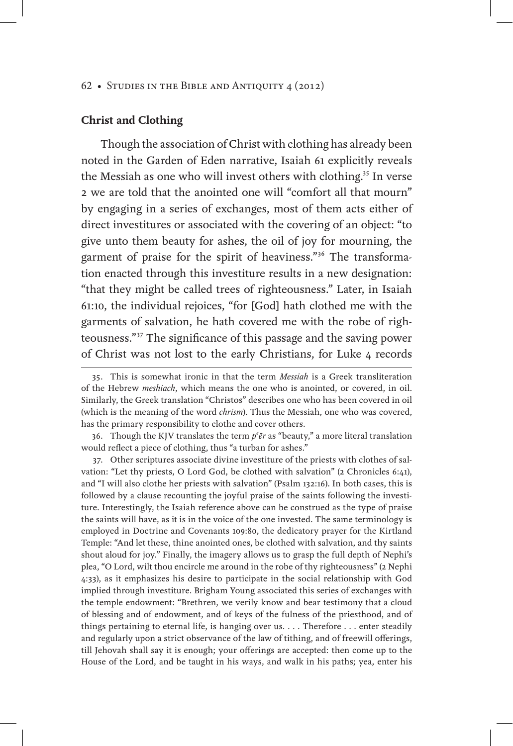# **Christ and Clothing**

Though the association of Christ with clothing has already been noted in the Garden of Eden narrative, Isaiah 61 explicitly reveals the Messiah as one who will invest others with clothing.<sup>35</sup> In verse 2 we are told that the anointed one will "comfort all that mourn" by engaging in a series of exchanges, most of them acts either of direct investitures or associated with the covering of an object: "to give unto them beauty for ashes, the oil of joy for mourning, the garment of praise for the spirit of heaviness."36 The transformation enacted through this investiture results in a new designation: "that they might be called trees of righteousness." Later, in Isaiah 61:10, the individual rejoices, "for [God] hath clothed me with the garments of salvation, he hath covered me with the robe of righteousness."37 The significance of this passage and the saving power of Christ was not lost to the early Christians, for Luke 4 records

37. Other scriptures associate divine investiture of the priests with clothes of salvation: "Let thy priests, O Lord God, be clothed with salvation" (2 Chronicles 6:41), and "I will also clothe her priests with salvation" (Psalm 132:16). In both cases, this is followed by a clause recounting the joyful praise of the saints following the investiture. Interestingly, the Isaiah reference above can be construed as the type of praise the saints will have, as it is in the voice of the one invested. The same terminology is employed in Doctrine and Covenants 109:80, the dedicatory prayer for the Kirtland Temple: "And let these, thine anointed ones, be clothed with salvation, and thy saints shout aloud for joy." Finally, the imagery allows us to grasp the full depth of Nephi's plea, "O Lord, wilt thou encircle me around in the robe of thy righteousness" (2 Nephi 4:33), as it emphasizes his desire to participate in the social relationship with God implied through investiture. Brigham Young associated this series of exchanges with the temple endowment: "Brethren, we verily know and bear testimony that a cloud of blessing and of endowment, and of keys of the fulness of the priesthood, and of things pertaining to eternal life, is hanging over us. . . . Therefore . . . enter steadily and regularly upon a strict observance of the law of tithing, and of freewill offerings, till Jehovah shall say it is enough; your offerings are accepted: then come up to the House of the Lord, and be taught in his ways, and walk in his paths; yea, enter his

<sup>35.</sup> This is somewhat ironic in that the term *Messiah* is a Greek transliteration of the Hebrew *meshiach*, which means the one who is anointed, or covered, in oil. Similarly, the Greek translation "Christos" describes one who has been covered in oil (which is the meaning of the word *chrism*). Thus the Messiah, one who was covered, has the primary responsibility to clothe and cover others.

<sup>36.</sup> Though the KJV translates the term  $p^e$  *er* as "beauty," a more literal translation would reflect a piece of clothing, thus "a turban for ashes."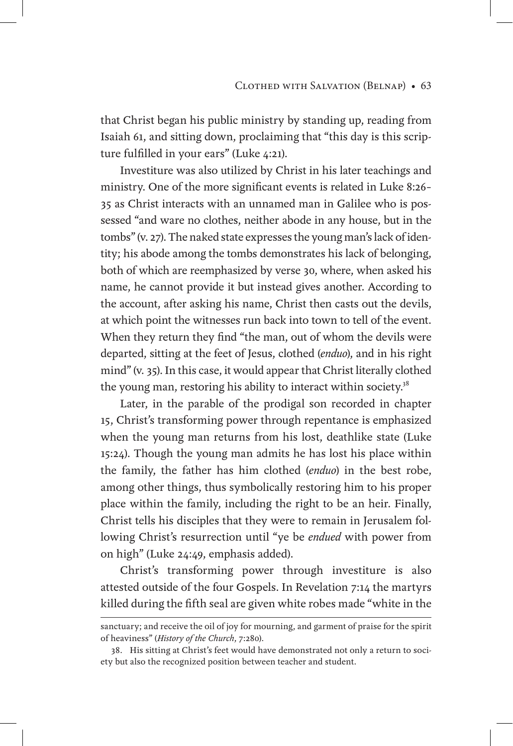that Christ began his public ministry by standing up, reading from Isaiah 61, and sitting down, proclaiming that "this day is this scripture fulfilled in your ears" (Luke 4:21).

Investiture was also utilized by Christ in his later teachings and ministry. One of the more significant events is related in Luke 8:26– 35 as Christ interacts with an unnamed man in Galilee who is possessed "and ware no clothes, neither abode in any house, but in the tombs" (v. 27). The naked state expresses the young man's lack of identity; his abode among the tombs demonstrates his lack of belonging, both of which are reemphasized by verse 30, where, when asked his name, he cannot provide it but instead gives another. According to the account, after asking his name, Christ then casts out the devils, at which point the witnesses run back into town to tell of the event. When they return they find "the man, out of whom the devils were departed, sitting at the feet of Jesus, clothed (*enduo*), and in his right mind" (v. 35). In this case, it would appear that Christ literally clothed the young man, restoring his ability to interact within society.<sup>38</sup>

Later, in the parable of the prodigal son recorded in chapter 15, Christ's transforming power through repentance is emphasized when the young man returns from his lost, deathlike state (Luke 15:24). Though the young man admits he has lost his place within the family, the father has him clothed (*enduo*) in the best robe, among other things, thus symbolically restoring him to his proper place within the family, including the right to be an heir. Finally, Christ tells his disciples that they were to remain in Jerusalem following Christ's resurrection until "ye be *endued* with power from on high" (Luke 24:49, emphasis added).

Christ's transforming power through investiture is also attested outside of the four Gospels. In Revelation 7:14 the martyrs killed during the fifth seal are given white robes made "white in the

sanctuary; and receive the oil of joy for mourning, and garment of praise for the spirit of heaviness" (*History of the Church*, 7:280).

<sup>38.</sup> His sitting at Christ's feet would have demonstrated not only a return to society but also the recognized position between teacher and student.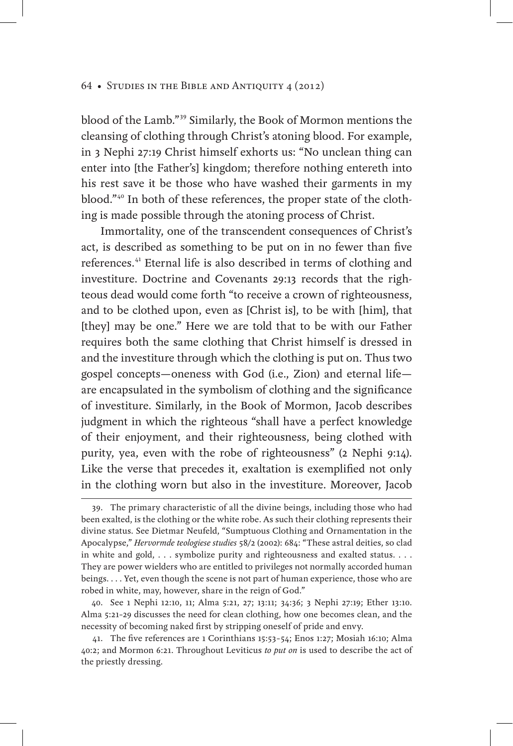blood of the Lamb."39 Similarly, the Book of Mormon mentions the cleansing of clothing through Christ's atoning blood. For example, in 3 Nephi 27:19 Christ himself exhorts us: "No unclean thing can enter into [the Father's] kingdom; therefore nothing entereth into his rest save it be those who have washed their garments in my blood."40 In both of these references, the proper state of the clothing is made possible through the atoning process of Christ.

Immortality, one of the transcendent consequences of Christ's act, is described as something to be put on in no fewer than five references.41 Eternal life is also described in terms of clothing and investiture. Doctrine and Covenants 29:13 records that the righteous dead would come forth "to receive a crown of righteousness, and to be clothed upon, even as [Christ is], to be with [him], that [they] may be one." Here we are told that to be with our Father requires both the same clothing that Christ himself is dressed in and the investiture through which the clothing is put on. Thus two gospel concepts—oneness with God (i.e., Zion) and eternal life are encapsulated in the symbolism of clothing and the significance of investiture. Similarly, in the Book of Mormon, Jacob describes judgment in which the righteous "shall have a perfect knowledge of their enjoyment, and their righteousness, being clothed with purity, yea, even with the robe of righteousness" (2 Nephi 9:14). Like the verse that precedes it, exaltation is exemplified not only in the clothing worn but also in the investiture. Moreover, Jacob

40. See 1 Nephi 12:10, 11; Alma 5:21, 27; 13:11; 34:36; 3 Nephi 27:19; Ether 13:10. Alma 5:21–29 discusses the need for clean clothing, how one becomes clean, and the necessity of becoming naked first by stripping oneself of pride and envy.

41. The five references are 1 Corinthians 15:53–54; Enos 1:27; Mosiah 16:10; Alma 40:2; and Mormon 6:21. Throughout Leviticus *to put on* is used to describe the act of the priestly dressing.

<sup>39.</sup> The primary characteristic of all the divine beings, including those who had been exalted, is the clothing or the white robe. As such their clothing represents their divine status. See Dietmar Neufeld, "Sumptuous Clothing and Ornamentation in the Apocalypse," *Hervormde teologiese studies* 58/2 (2002): 684: "These astral deities, so clad in white and gold, . . . symbolize purity and righteousness and exalted status. . . . They are power wielders who are entitled to privileges not normally accorded human beings. . . . Yet, even though the scene is not part of human experience, those who are robed in white, may, however, share in the reign of God."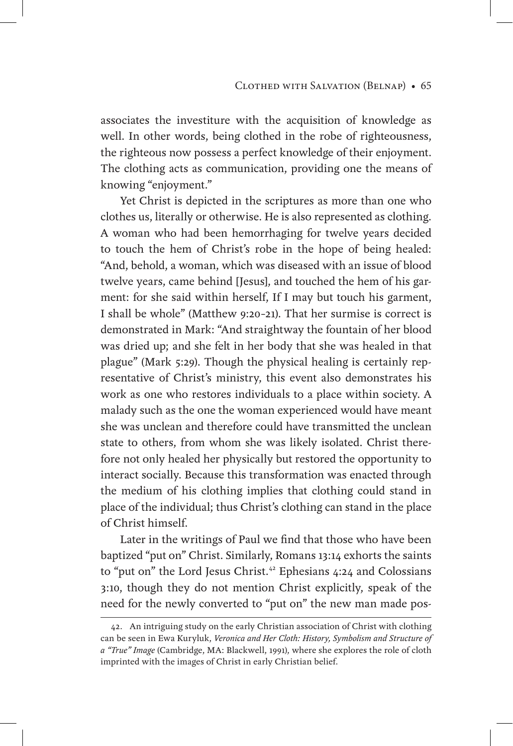associates the investiture with the acquisition of knowledge as well. In other words, being clothed in the robe of righteousness, the righteous now possess a perfect knowledge of their enjoyment. The clothing acts as communication, providing one the means of knowing "enjoyment."

Yet Christ is depicted in the scriptures as more than one who clothes us, literally or otherwise. He is also represented as clothing. A woman who had been hemorrhaging for twelve years decided to touch the hem of Christ's robe in the hope of being healed: "And, behold, a woman, which was diseased with an issue of blood twelve years, came behind [Jesus], and touched the hem of his garment: for she said within herself, If I may but touch his garment, I shall be whole" (Matthew 9:20–21). That her surmise is correct is demonstrated in Mark: "And straightway the fountain of her blood was dried up; and she felt in her body that she was healed in that plague" (Mark 5:29). Though the physical healing is certainly representative of Christ's ministry, this event also demonstrates his work as one who restores individuals to a place within society. A malady such as the one the woman experienced would have meant she was unclean and therefore could have transmitted the unclean state to others, from whom she was likely isolated. Christ therefore not only healed her physically but restored the opportunity to interact socially. Because this transformation was enacted through the medium of his clothing implies that clothing could stand in place of the individual; thus Christ's clothing can stand in the place of Christ himself.

Later in the writings of Paul we find that those who have been baptized "put on" Christ. Similarly, Romans 13:14 exhorts the saints to "put on" the Lord Jesus Christ.<sup>42</sup> Ephesians 4:24 and Colossians 3:10, though they do not mention Christ explicitly, speak of the need for the newly converted to "put on" the new man made pos-

<sup>42.</sup> An intriguing study on the early Christian association of Christ with clothing can be seen in Ewa Kuryluk, *Veronica and Her Cloth: History, Symbolism and Structure of a "True" Image* (Cambridge, MA: Blackwell, 1991), where she explores the role of cloth imprinted with the images of Christ in early Christian belief.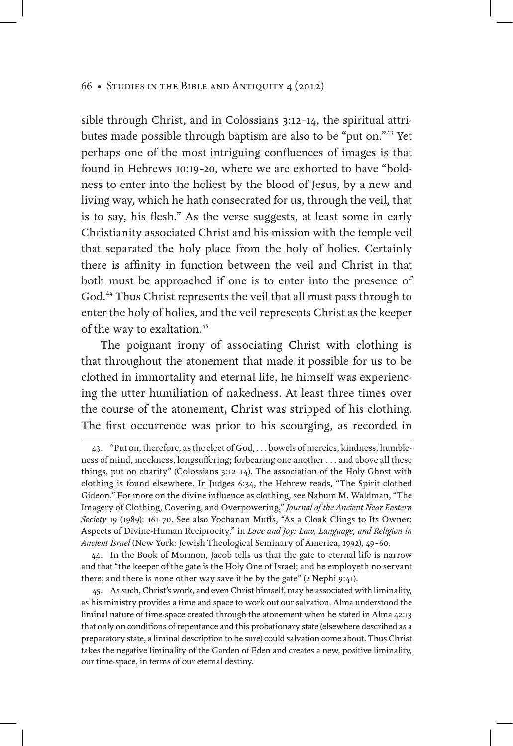sible through Christ, and in Colossians 3:12–14, the spiritual attributes made possible through baptism are also to be "put on."43 Yet perhaps one of the most intriguing confluences of images is that found in Hebrews 10:19–20, where we are exhorted to have "boldness to enter into the holiest by the blood of Jesus, by a new and living way, which he hath consecrated for us, through the veil, that is to say, his flesh." As the verse suggests, at least some in early Christianity associated Christ and his mission with the temple veil that separated the holy place from the holy of holies. Certainly there is affinity in function between the veil and Christ in that both must be approached if one is to enter into the presence of God.<sup>44</sup> Thus Christ represents the veil that all must pass through to enter the holy of holies, and the veil represents Christ as the keeper of the way to exaltation.<sup>45</sup>

The poignant irony of associating Christ with clothing is that throughout the atonement that made it possible for us to be clothed in immortality and eternal life, he himself was experiencing the utter humiliation of nakedness. At least three times over the course of the atonement, Christ was stripped of his clothing. The first occurrence was prior to his scourging, as recorded in

44. In the Book of Mormon, Jacob tells us that the gate to eternal life is narrow and that "the keeper of the gate is the Holy One of Israel; and he employeth no servant there; and there is none other way save it be by the gate" (2 Nephi 9:41).

45. As such, Christ's work, and even Christ himself, may be associated with liminality, as his ministry provides a time and space to work out our salvation. Alma understood the liminal nature of time-space created through the atonement when he stated in Alma 42:13 that only on conditions of repentance and this probationary state (elsewhere described as a preparatory state, a liminal description to be sure) could salvation come about. Thus Christ takes the negative liminality of the Garden of Eden and creates a new, positive liminality, our time-space, in terms of our eternal destiny.

<sup>43.</sup> "Put on, therefore, as the elect of God, . . . bowels of mercies, kindness, humbleness of mind, meekness, longsuffering; forbearing one another . . . and above all these things, put on charity" (Colossians 3:12–14). The association of the Holy Ghost with clothing is found elsewhere. In Judges 6:34, the Hebrew reads, "The Spirit clothed Gideon." For more on the divine influence as clothing, see Nahum M. Waldman, "The Imagery of Clothing, Covering, and Overpowering," *Journal of the Ancient Near Eastern Society* 19 (1989): 161–70. See also Yochanan Muffs, "As a Cloak Clings to Its Owner: Aspects of Divine-Human Reciprocity," in *Love and Joy: Law, Language, and Religion in Ancient Israel* (New York: Jewish Theological Seminary of America, 1992), 49–60.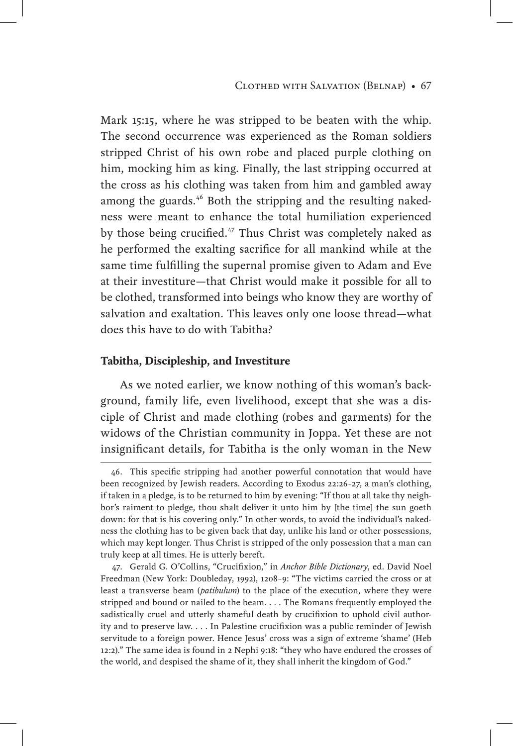Mark 15:15, where he was stripped to be beaten with the whip. The second occurrence was experienced as the Roman soldiers stripped Christ of his own robe and placed purple clothing on him, mocking him as king. Finally, the last stripping occurred at the cross as his clothing was taken from him and gambled away among the guards.<sup>46</sup> Both the stripping and the resulting nakedness were meant to enhance the total humiliation experienced by those being crucified.<sup>47</sup> Thus Christ was completely naked as he performed the exalting sacrifice for all mankind while at the same time fulfilling the supernal promise given to Adam and Eve at their investiture—that Christ would make it possible for all to be clothed, transformed into beings who know they are worthy of salvation and exaltation. This leaves only one loose thread—what does this have to do with Tabitha?

# **Tabitha, Discipleship, and Investiture**

As we noted earlier, we know nothing of this woman's background, family life, even livelihood, except that she was a disciple of Christ and made clothing (robes and garments) for the widows of the Christian community in Joppa. Yet these are not insignificant details, for Tabitha is the only woman in the New

<sup>46.</sup> This specific stripping had another powerful connotation that would have been recognized by Jewish readers. According to Exodus 22:26–27, a man's clothing, if taken in a pledge, is to be returned to him by evening: "If thou at all take thy neighbor's raiment to pledge, thou shalt deliver it unto him by [the time] the sun goeth down: for that is his covering only." In other words, to avoid the individual's nakedness the clothing has to be given back that day, unlike his land or other possessions, which may kept longer. Thus Christ is stripped of the only possession that a man can truly keep at all times. He is utterly bereft.

<sup>47.</sup> Gerald G. O'Collins, "Crucifixion," in *Anchor Bible Dictionary*, ed. David Noel Freedman (New York: Doubleday, 1992), 1208–9: "The victims carried the cross or at least a transverse beam (*patibulum*) to the place of the execution, where they were stripped and bound or nailed to the beam. . . . The Romans frequently employed the sadistically cruel and utterly shameful death by crucifixion to uphold civil authority and to preserve law. . . . In Palestine crucifixion was a public reminder of Jewish servitude to a foreign power. Hence Jesus' cross was a sign of extreme 'shame' (Heb 12:2)." The same idea is found in 2 Nephi 9:18: "they who have endured the crosses of the world, and despised the shame of it, they shall inherit the kingdom of God."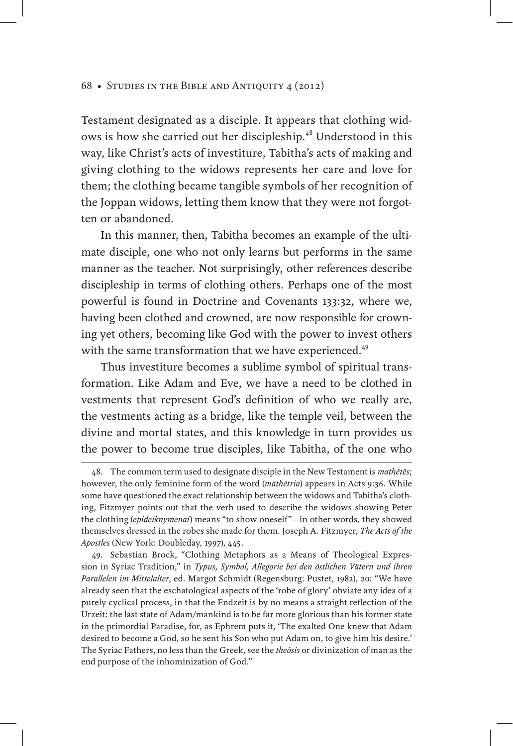Testament designated as a disciple. It appears that clothing widows is how she carried out her discipleship.<sup>48</sup> Understood in this way, like Christ's acts of investiture, Tabitha's acts of making and giving clothing to the widows represents her care and love for them; the clothing became tangible symbols of her recognition of the Joppan widows, letting them know that they were not forgotten or abandoned.

In this manner, then, Tabitha becomes an example of the ultimate disciple, one who not only learns but performs in the same manner as the teacher. Not surprisingly, other references describe discipleship in terms of clothing others. Perhaps one of the most powerful is found in Doctrine and Covenants 133:32, where we, having been clothed and crowned, are now responsible for crowning yet others, becoming like God with the power to invest others with the same transformation that we have experienced.<sup>49</sup>

Thus investiture becomes a sublime symbol of spiritual transformation. Like Adam and Eve, we have a need to be clothed in vestments that represent God's definition of who we really are, the vestments acting as a bridge, like the temple veil, between the divine and mortal states, and this knowledge in turn provides us the power to become true disciples, like Tabitha, of the one who

<sup>48.</sup> The common term used to designate disciple in the New Testament is *mathētēs*; however, the only feminine form of the word (*mathētria*) appears in Acts 9:36. While some have questioned the exact relationship between the widows and Tabitha's clothing, Fitzmyer points out that the verb used to describe the widows showing Peter the clothing (*epideiknymenai*) means "to show oneself"—in other words, they showed themselves dressed in the robes she made for them. Joseph A. Fitzmyer, *The Acts of the Apostles* (New York: Doubleday, 1997), 445.

<sup>49.</sup> Sebastian Brock, "Clothing Metaphors as a Means of Theological Expression in Syriac Tradition," in *Typus, Symbol, Allegorie bei den östlichen Vätern und ihren Parallelen im Mittelalter*, ed. Margot Schmidt (Regensburg: Pustet, 1982), 20: "We have already seen that the eschatological aspects of the 'robe of glory' obviate any idea of a purely cyclical process, in that the Endzeit is by no means a straight reflection of the Urzeit: the last state of Adam/mankind is to be far more glorious than his former state in the primordial Paradise, for, as Ephrem puts it, 'The exalted One knew that Adam desired to become a God, so he sent his Son who put Adam on, to give him his desire.' The Syriac Fathers, no less than the Greek, see the *theōsis* or divinization of man as the end purpose of the inhominization of God."